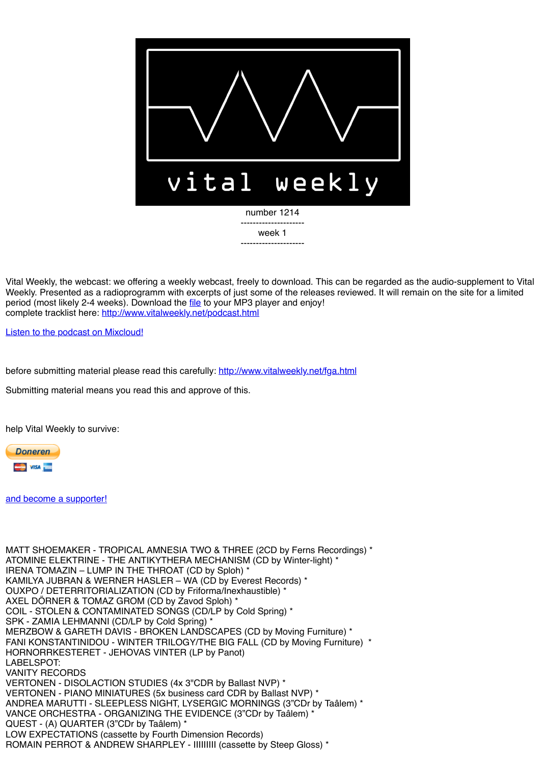

Vital Weekly, the webcast: we offering a weekly webcast, freely to download. This can be regarded as the audio-supplement to Vital Weekly. Presented as a radioprogramm with excerpts of just some of the releases reviewed. It will remain on the site for a limited period (most likely 2-4 weeks). Download the [file](http://www.vitalweekly.net/1214.m4a) to your MP3 player and enjoy! complete tracklist here:<http://www.vitalweekly.net/podcast.html>

[Listen to the podcast on Mixcloud!](http://www.mixcloud.com/Vitalweekly)

before submitting material please read this carefully: <http://www.vitalweekly.net/fga.html>

Submitting material means you read this and approve of this.

help Vital Weekly to survive:



[and become a supporter!](http://vitalweekly.net/fame.html)

MATT SHOEMAKER - TROPICAL AMNESIA TWO & THREE (2CD by Ferns Recordings) \* ATOMINE ELEKTRINE - THE ANTIKYTHERA MECHANISM (CD by Winter-light) \* IRENA TOMAZIN – LUMP IN THE THROAT (CD by Sploh) \* KAMILYA JUBRAN & WERNER HASLER – WA (CD by Everest Records) \* OUXPO / DETERRITORIALIZATION (CD by Friforma/Inexhaustible) \* AXEL DÖRNER & TOMAZ GROM (CD by Zavod Sploh) \* COIL - STOLEN & CONTAMINATED SONGS (CD/LP by Cold Spring) \* SPK - ZAMIA LEHMANNI (CD/LP by Cold Spring) \* MERZBOW & GARETH DAVIS - BROKEN LANDSCAPES (CD by Moving Furniture) \* FANI KONSTANTINIDOU - WINTER TRILOGY/THE BIG FALL (CD by Moving Furniture) \* HORNORRKESTERET - JEHOVAS VINTER (LP by Panot) LABELSPOT: VANITY RECORDS VERTONEN - DISOLACTION STUDIES (4x 3"CDR by Ballast NVP) \* VERTONEN - PIANO MINIATURES (5x business card CDR by Ballast NVP) \* ANDREA MARUTTI - SLEEPLESS NIGHT, LYSERGIC MORNINGS (3"CDr by Taâlem) \* VANCE ORCHESTRA - ORGANIZING THE EVIDENCE (3"CDr by Taâlem) \* QUEST - (A) QUARTER (3"CDr by Taâlem) \* LOW EXPECTATIONS (cassette by Fourth Dimension Records) ROMAIN PERROT & ANDREW SHARPLEY - IIIIIIIII (cassette by Steep Gloss) \*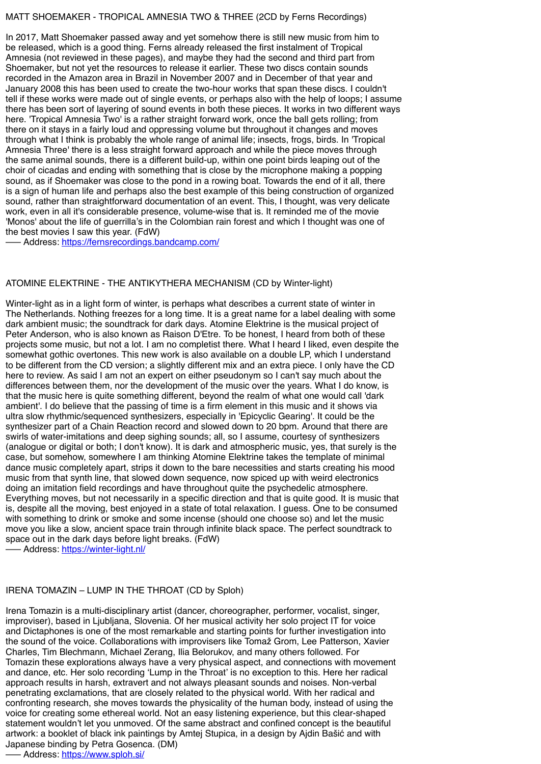### MATT SHOEMAKER - TROPICAL AMNESIA TWO & THREE (2CD by Ferns Recordings)

In 2017, Matt Shoemaker passed away and yet somehow there is still new music from him to be released, which is a good thing. Ferns already released the first instalment of Tropical Amnesia (not reviewed in these pages), and maybe they had the second and third part from Shoemaker, but not yet the resources to release it earlier. These two discs contain sounds recorded in the Amazon area in Brazil in November 2007 and in December of that year and January 2008 this has been used to create the two-hour works that span these discs. I couldn't tell if these works were made out of single events, or perhaps also with the help of loops; I assume there has been sort of layering of sound events in both these pieces. It works in two different ways here. 'Tropical Amnesia Two' is a rather straight forward work, once the ball gets rolling; from there on it stays in a fairly loud and oppressing volume but throughout it changes and moves through what I think is probably the whole range of animal life; insects, frogs, birds. In 'Tropical Amnesia Three' there is a less straight forward approach and while the piece moves through the same animal sounds, there is a different build-up, within one point birds leaping out of the choir of cicadas and ending with something that is close by the microphone making a popping sound, as if Shoemaker was close to the pond in a rowing boat. Towards the end of it all, there is a sign of human life and perhaps also the best example of this being construction of organized sound, rather than straightforward documentation of an event. This, I thought, was very delicate work, even in all it's considerable presence, volume-wise that is. It reminded me of the movie 'Monos' about the life of guerrilla's in the Colombian rain forest and which I thought was one of the best movies I saw this year. (FdW)

––– Address:<https://fernsrecordings.bandcamp.com/>

#### ATOMINE ELEKTRINE - THE ANTIKYTHERA MECHANISM (CD by Winter-light)

Winter-light as in a light form of winter, is perhaps what describes a current state of winter in The Netherlands. Nothing freezes for a long time. It is a great name for a label dealing with some dark ambient music; the soundtrack for dark days. Atomine Elektrine is the musical project of Peter Anderson, who is also known as Raison D'Etre. To be honest, I heard from both of these projects some music, but not a lot. I am no completist there. What I heard I liked, even despite the somewhat gothic overtones. This new work is also available on a double LP, which I understand to be different from the CD version; a slightly different mix and an extra piece. I only have the CD here to review. As said I am not an expert on either pseudonym so I can't say much about the differences between them, nor the development of the music over the years. What I do know, is that the music here is quite something different, beyond the realm of what one would call 'dark ambient'. I do believe that the passing of time is a firm element in this music and it shows via ultra slow rhythmic/sequenced synthesizers, especially in 'Epicyclic Gearing'. It could be the synthesizer part of a Chain Reaction record and slowed down to 20 bpm. Around that there are swirls of water-imitations and deep sighing sounds; all, so I assume, courtesy of synthesizers (analogue or digital or both; I don't know). It is dark and atmospheric music, yes, that surely is the case, but somehow, somewhere I am thinking Atomine Elektrine takes the template of minimal dance music completely apart, strips it down to the bare necessities and starts creating his mood music from that synth line, that slowed down sequence, now spiced up with weird electronics doing an imitation field recordings and have throughout quite the psychedelic atmosphere. Everything moves, but not necessarily in a specific direction and that is quite good. It is music that is, despite all the moving, best enjoyed in a state of total relaxation. I guess. One to be consumed with something to drink or smoke and some incense (should one choose so) and let the music move you like a slow, ancient space train through infinite black space. The perfect soundtrack to space out in the dark days before light breaks. (FdW)

––– Address:<https://winter-light.nl/>

#### IRENA TOMAZIN – LUMP IN THE THROAT (CD by Sploh)

Irena Tomazin is a multi-disciplinary artist (dancer, choreographer, performer, vocalist, singer, improviser), based in Ljubljana, Slovenia. Of her musical activity her solo project IT for voice and Dictaphones is one of the most remarkable and starting points for further investigation into the sound of the voice. Collaborations with improvisers like Tomaž Grom, Lee Patterson, Xavier Charles, Tim Blechmann, Michael Zerang, Ilia Belorukov, and many others followed. For Tomazin these explorations always have a very physical aspect, and connections with movement and dance, etc. Her solo recording 'Lump in the Throat' is no exception to this. Here her radical approach results in harsh, extravert and not always pleasant sounds and noises. Non-verbal penetrating exclamations, that are closely related to the physical world. With her radical and confronting research, she moves towards the physicality of the human body, instead of using the voice for creating some ethereal world. Not an easy listening experience, but this clear-shaped statement wouldn't let you unmoved. Of the same abstract and confined concept is the beautiful artwork: a booklet of black ink paintings by Amtej Stupica, in a design by Ajdin Bašić and with Japanese binding by Petra Gosenca. (DM)

––– Address:<https://www.sploh.si/>